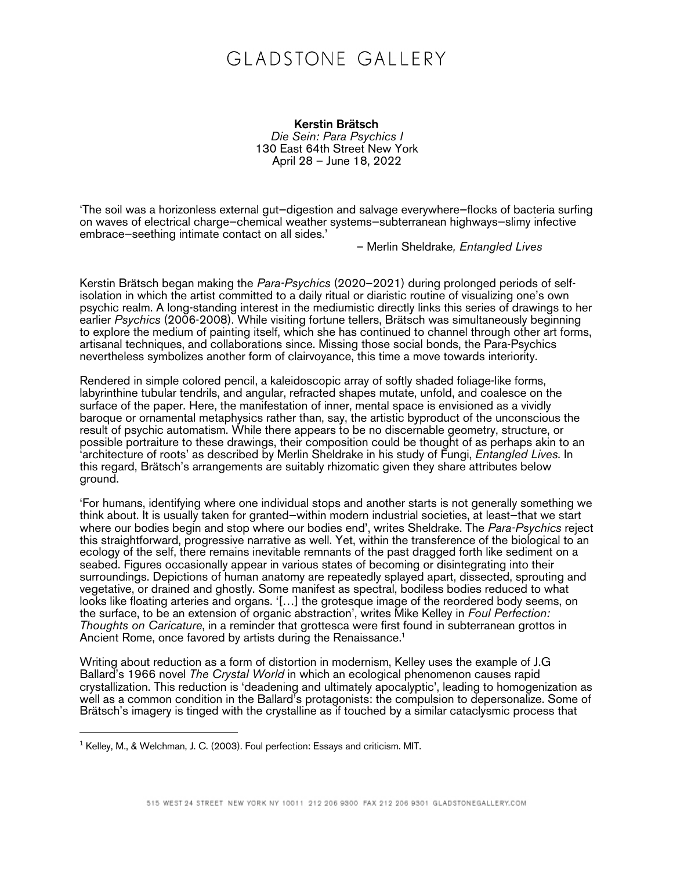## GLADSTONE GALLERY

Kerstin Brätsch *Die Sein: Para Psychics I* 130 East 64th Street New York April 28 – June 18, 2022

'The soil was a horizonless external gut—digestion and salvage everywhere—flocks of bacteria surfing on waves of electrical charge—chemical weather systems—subterranean highways—slimy infective embrace—seething intimate contact on all sides.'

– Merlin Sheldrake*, Entangled Lives*

Kerstin Brätsch began making the *Para-Psychics* (2020–2021) during prolonged periods of selfisolation in which the artist committed to a daily ritual or diaristic routine of visualizing one's own psychic realm. A long-standing interest in the mediumistic directly links this series of drawings to her earlier *Psychics* (2006-2008). While visiting fortune tellers, Brätsch was simultaneously beginning to explore the medium of painting itself, which she has continued to channel through other art forms, artisanal techniques, and collaborations since. Missing those social bonds, the Para-Psychics nevertheless symbolizes another form of clairvoyance, this time a move towards interiority.

Rendered in simple colored pencil, a kaleidoscopic array of softly shaded foliage-like forms, labyrinthine tubular tendrils, and angular, refracted shapes mutate, unfold, and coalesce on the surface of the paper. Here, the manifestation of inner, mental space is envisioned as a vividly baroque or ornamental metaphysics rather than, say, the artistic byproduct of the unconscious the result of psychic automatism. While there appears to be no discernable geometry, structure, or possible portraiture to these drawings, their composition could be thought of as perhaps akin to an 'architecture of roots' as described by Merlin Sheldrake in his study of Fungi, *Entangled Lives.* In this regard, Brätsch's arrangements are suitably rhizomatic given they share attributes below ground.

'For humans, identifying where one individual stops and another starts is not generally something we think about. It is usually taken for granted—within modern industrial societies, at least—that we start where our bodies begin and stop where our bodies end', writes Sheldrake. The *Para-Psychics* reject this straightforward, progressive narrative as well. Yet, within the transference of the biological to an ecology of the self, there remains inevitable remnants of the past dragged forth like sediment on a seabed. Figures occasionally appear in various states of becoming or disintegrating into their surroundings. Depictions of human anatomy are repeatedly splayed apart, dissected, sprouting and vegetative, or drained and ghostly. Some manifest as spectral, bodiless bodies reduced to what looks like floating arteries and organs. '[…] the grotesque image of the reordered body seems, on the surface, to be an extension of organic abstraction', writes Mike Kelley in *Foul Perfection: Thoughts on Caricature*, in a reminder that grottesca were first found in subterranean grottos in Ancient Rome, once favored by artists during the Renaissance.<sup>1</sup>

Writing about reduction as a form of distortion in modernism, Kelley uses the example of J.G Ballard's 1966 novel *The Crystal World* in which an ecological phenomenon causes rapid crystallization. This reduction is 'deadening and ultimately apocalyptic', leading to homogenization as well as a common condition in the Ballard's protagonists: the compulsion to depersonalize. Some of Brätsch's imagery is tinged with the crystalline as if touched by a similar cataclysmic process that

<sup>1</sup> Kelley, M., & Welchman, J. C. (2003). Foul perfection: Essays and criticism. MIT.